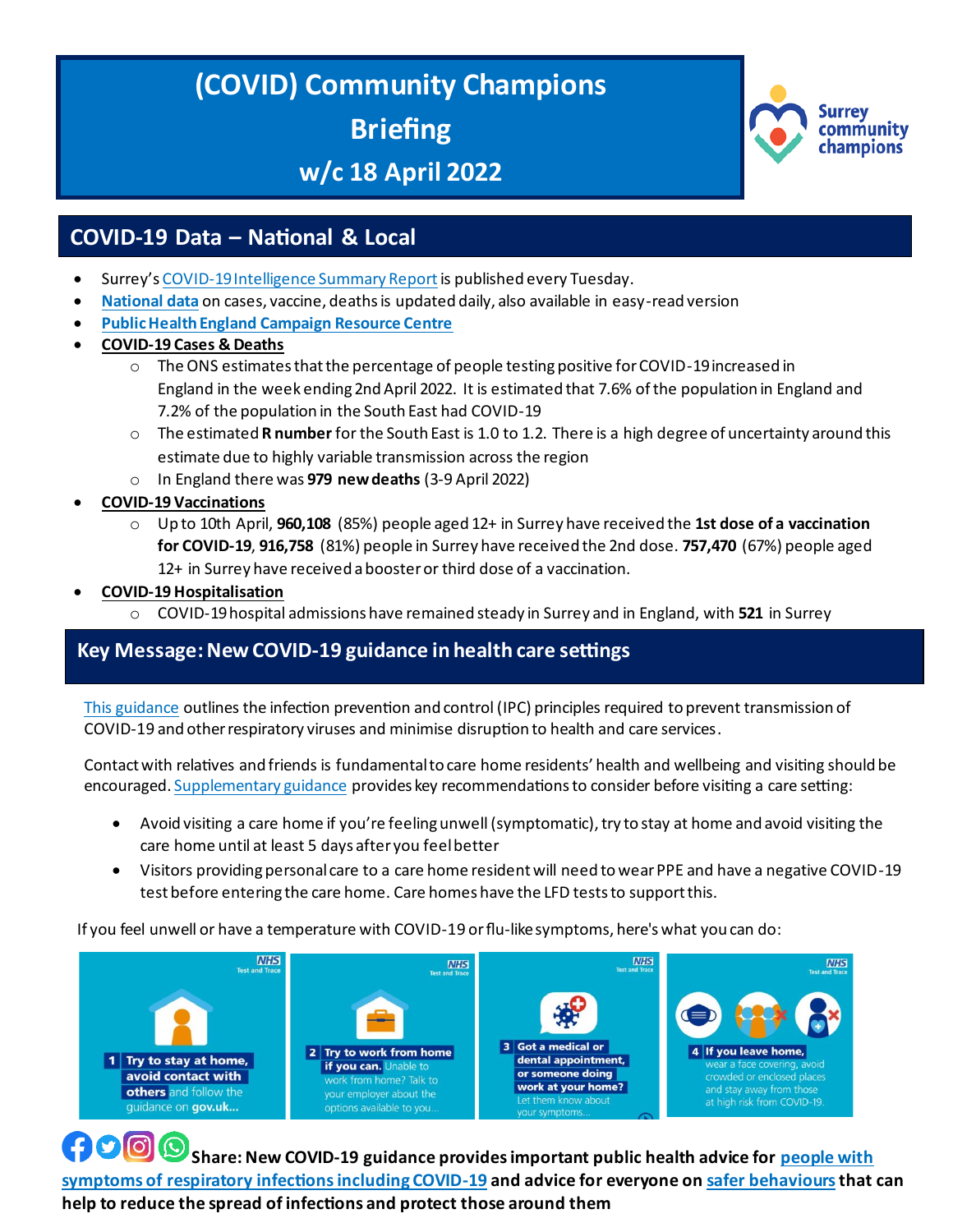# **(COVID) Community Champions Briefing**

# **w/c 18 April 2022**



## **COVID-19 Data – National & Local**

- Surrey's [COVID-19 Intelligence Summary Report](https://www.surreycc.gov.uk/health-and-welfare/coronavirus/local-outbreak-plan/figures-and-statistics/full-report) is published every Tuesday.
- **[National data](https://coronavirus.data.gov.uk/)** on cases, vaccine, deaths is updated daily, also available in easy-read version
- **[Public Health England Campaign Resource Centre](https://campaignresources.phe.gov.uk/resources/)**
- **COVID-19 Cases & Deaths**
	- $\circ$  The ONS estimates that the percentage of people testing positive for COVID-19 increased in England in the week ending 2nd April 2022. It is estimated that 7.6% of the population in England and 7.2% of the population in the South East had COVID-19
	- o The estimated **R number** for the South East is 1.0 to 1.2. There is a high degree of uncertainty around this estimate due to highly variable transmission across the region
	- o In England there was **979 new deaths** (3-9 April 2022)
- **COVID-19 Vaccinations** 
	- o Up to 10th April, **960,108** (85%) people aged 12+ in Surrey have received the **1st dose of a vaccination for COVID-19**, **916,758** (81%) people in Surrey have received the 2nd dose. **757,470** (67%) people aged 12+ in Surrey have received a booster or third dose of a vaccination.
- **COVID-19 Hospitalisation** 
	- o COVID-19 hospital admissions have remained steady in Surrey and in England, with **521** in Surrey

#### hospitals this week (28th March to 3rd April). **Key Message:New COVID-19 guidance in health care settings**

[This guidance](https://www.gov.uk/government/publications/wuhan-novel-coronavirus-infection-prevention-and-control/covid-19-guidance-for-maintaining-services-within-health-and-care-settings-infection-prevention-and-control-recommendations#Criteria) outlines the infection prevention and control (IPC) principles required to prevent transmission of COVID-19 and other respiratory viruses and minimise disruption to health and care services.

Contact with relatives and friends is fundamental to care home residents' health and wellbeing and visiting should be encouraged[. Supplementary guidance](https://www.gov.uk/government/publications/infection-prevention-and-control-in-adult-social-care-covid-19-supplement/covid-19-supplement-to-the-infection-prevention-and-control-resource-for-adult-social-care) provides key recommendations to consider before visiting a care setting:

- Avoid visiting a care home if you're feeling unwell (symptomatic), try to stay at home and avoid visiting the care home until at least 5 days after you feel better
- Visitors providing personal care to a care home resident will need to wear PPE and have a negative COVID-19 test before entering the care home. Care homes have the LFD tests to support this.

If you feel unwell or have a temperature with COVID-19 or flu-like symptoms, here's what you can do:



 $\bigcirc$   $\bigcirc$   $\bigcirc$ **Share: New COVID-19 guidance provides important public health advice fo[r people with](https://www.gov.uk/guidance/people-with-symptoms-of-a-respiratory-infection-including-covid-19)  [symptoms of respiratory infections including COVID-19](https://www.gov.uk/guidance/people-with-symptoms-of-a-respiratory-infection-including-covid-19) and advice for everyone o[n safer behaviours](https://www.gov.uk/guidance/living-safely-with-respiratory-infections-including-covid-19)that can help to reduce the spread of infections and protect those around them**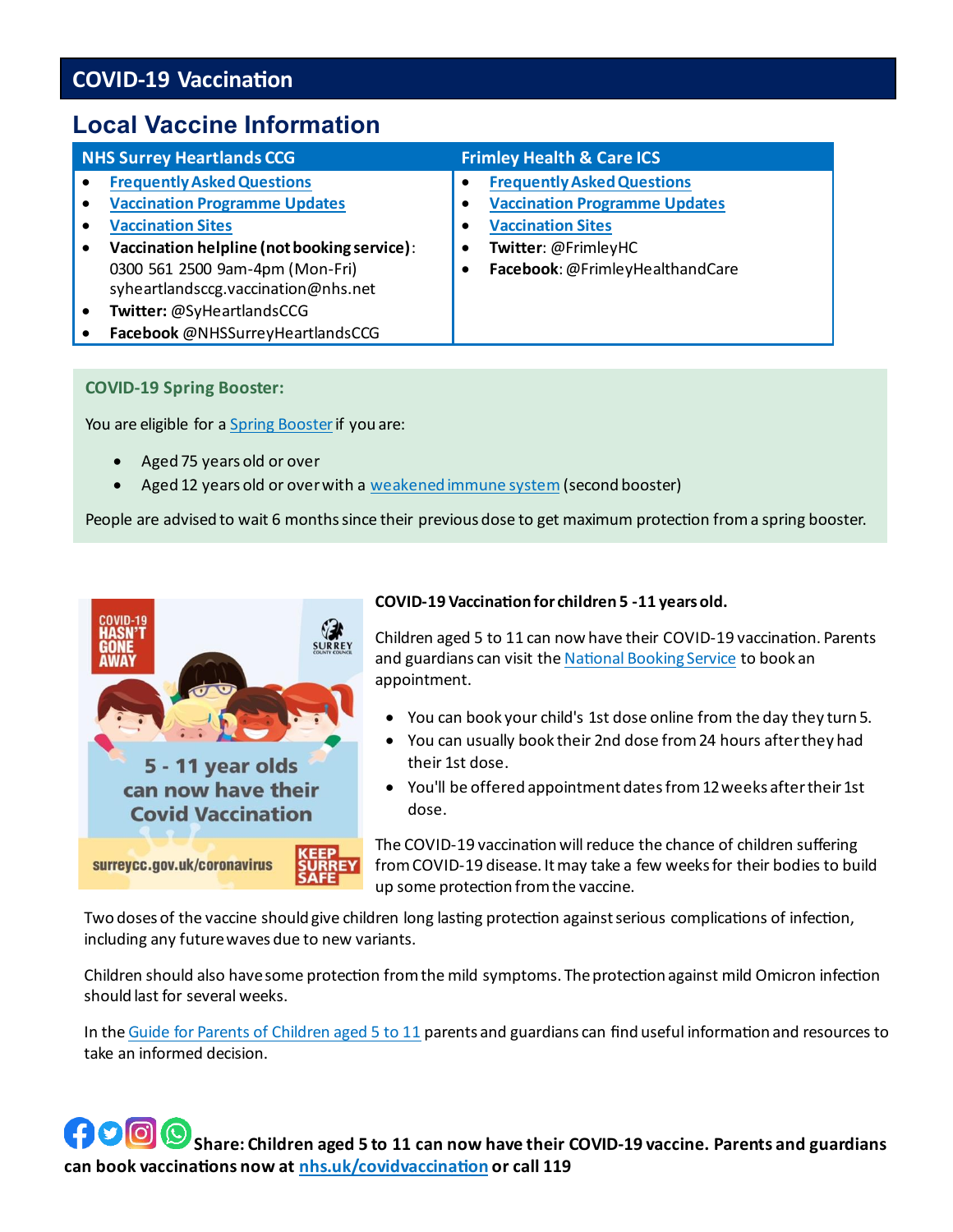# **COVID-19 Vaccination**

# **Local Vaccine Information**

| <b>NHS Surrey Heartlands CCG</b>                                                                                                                                                                                                                                                                | <b>Frimley Health &amp; Care ICS</b>                                                                                                                            |
|-------------------------------------------------------------------------------------------------------------------------------------------------------------------------------------------------------------------------------------------------------------------------------------------------|-----------------------------------------------------------------------------------------------------------------------------------------------------------------|
| <b>Frequently Asked Questions</b><br><b>Vaccination Programme Updates</b><br><b>Vaccination Sites</b><br>Vaccination helpline (not booking service):<br>0300 561 2500 9am-4pm (Mon-Fri)<br>syheartlandsccg.vaccination@nhs.net<br>Twitter: @SyHeartlandsCCG<br>Facebook @NHSSurreyHeartlandsCCG | <b>Frequently Asked Questions</b><br><b>Vaccination Programme Updates</b><br><b>Vaccination Sites</b><br>Twitter: @FrimleyHC<br>Facebook: @FrimleyHealthandCare |

#### **COVID-19 Spring Booster:**

You are eligible for [a Spring Booster](https://www.nhs.uk/conditions/coronavirus-covid-19/coronavirus-vaccination/how-to-get-a-coronavirus-vaccine/how-to-get-a-booster-dose/) if you are:

- Aged 75 years old or over
- Aged 12 years old or over with [a weakened immune system](https://www.nhs.uk/conditions/coronavirus-covid-19/coronavirus-vaccination/coronavirus-vaccine-people-with-severely-weakened-immune-system/) (second booster)

People are advised to wait 6 months since their previous dose to get maximum protection from a spring booster.



#### **COVID-19 Vaccination for children 5 -11 years old.**

Children aged 5 to 11 can now have their COVID-19 vaccination. Parents and guardians can visit th[e National Booking Service](https://www.nhs.uk/conditions/coronavirus-covid-19/coronavirus-vaccination/book-coronavirus-vaccination/) to book an appointment.

- You can book your child's 1st dose online from the day they turn 5.
- You can usually book their 2nd dose from 24 hours after they had their 1st dose.
- You'll be offered appointment dates from 12 weeks after their 1st dose.

The COVID-19 vaccination will reduce the chance of children suffering from COVID-19 disease. It may take a few weeks for their bodies to build up some protection from the vaccine.

Two doses of the vaccine should give children long lasting protection against serious complications of infection, including any future waves due to new variants.

Children should also have some protection from the mild symptoms. The protection against mild Omicron infection should last for several weeks.

In the [Guide for Parents of Children aged 5 to 11](https://www.gov.uk/government/publications/covid-19-vaccination-resources-for-children-aged-5-to-11-years) parents and guardians can find useful information and resources to take an informed decision.

**Share: Children aged 5 to 11 can now have their COVID-19 vaccine. Parents and guardians can book vaccinations now a[t nhs.uk/covidvaccination](https://www.nhs.uk/conditions/coronavirus-covid-19/coronavirus-vaccination/coronavirus-vaccine/) or call 119**